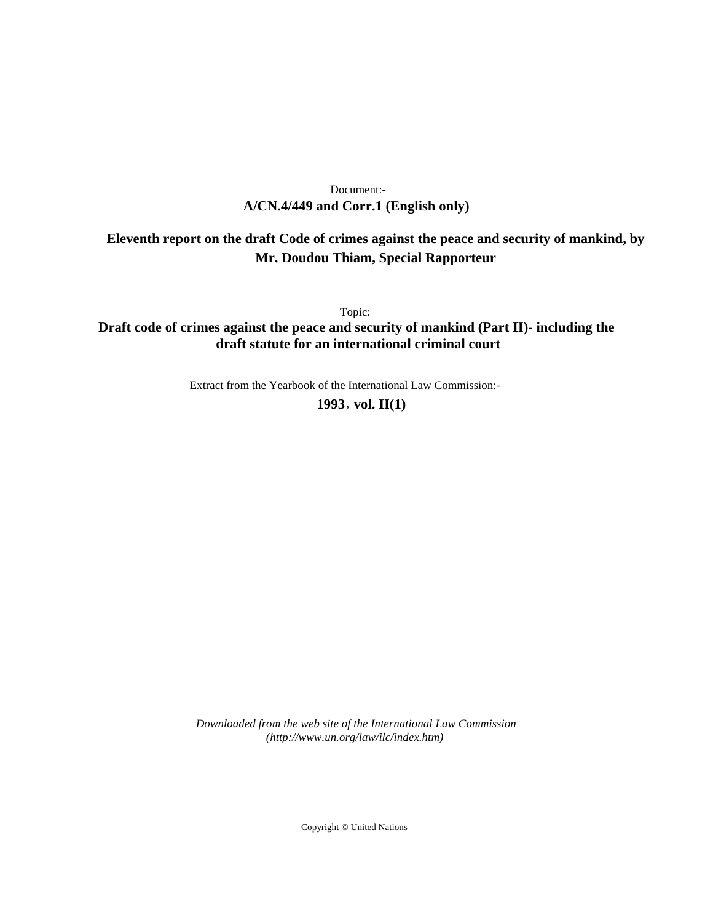# **A/CN.4/449 and Corr.1 (English only)** Document:-

# **Eleventh report on the draft Code of crimes against the peace and security of mankind, by Mr. Doudou Thiam, Special Rapporteur**

Topic:

**Draft code of crimes against the peace and security of mankind (Part II)- including the draft statute for an international criminal court**

Extract from the Yearbook of the International Law Commission:-

**1993** , **vol. II(1)**

*Downloaded from the web site of the International Law Commission (http://www.un.org/law/ilc/index.htm)*

Copyright © United Nations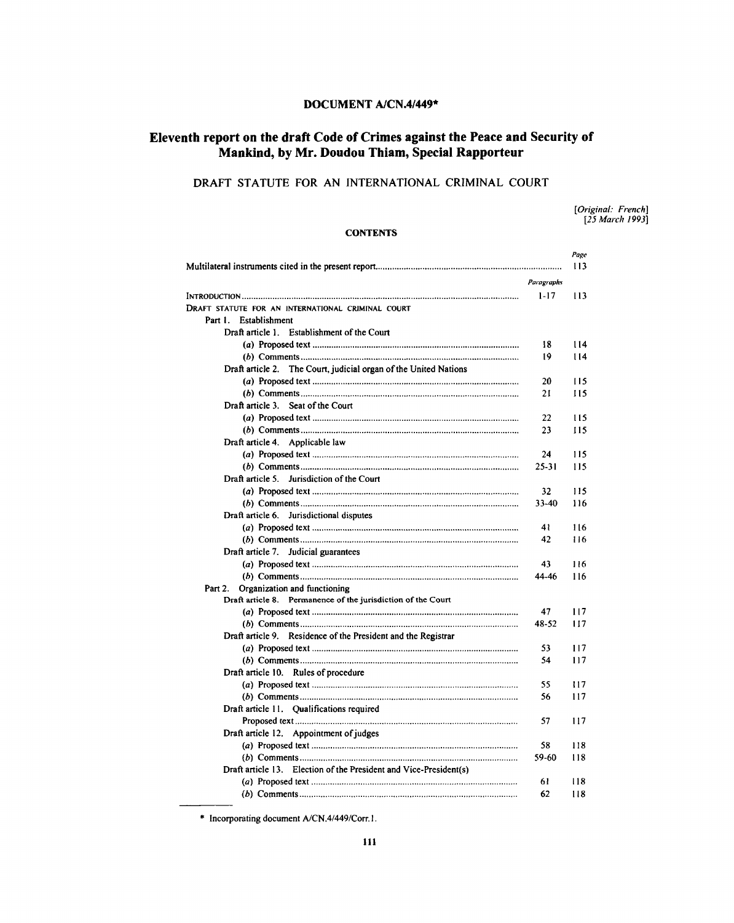# **DOCUMENT A/CN.4/449\***

# **Eleventh report on the draft Code of Crimes against the Peace and Security of Mankind, by Mr. Doudou Thiam, Special Rapporteur**

# DRAFT STATUTE FOR AN INTERNATIONAL CRIMINAL COURT

*[Original: French] [25 March 1993]*

# **CONTENTS**

|                                                                   |            | Page |
|-------------------------------------------------------------------|------------|------|
|                                                                   |            | 113  |
|                                                                   | Paragraphs |      |
|                                                                   | $1 - 17$   | 113  |
| DRAFT STATUTE FOR AN INTERNATIONAL CRIMINAL COURT                 |            |      |
| Part I.<br>Establishment                                          |            |      |
| Draft article 1. Establishment of the Court                       |            |      |
|                                                                   | 18         | 114  |
|                                                                   | 19         | 114  |
| Draft article 2. The Court, judicial organ of the United Nations  |            |      |
|                                                                   | 20         | 115  |
|                                                                   | 21         | 115  |
| Draft article 3. Seat of the Court                                |            |      |
|                                                                   | 22         | 115  |
|                                                                   | 23         | 115  |
| Draft article 4. Applicable law                                   |            |      |
|                                                                   | 24         | 115  |
|                                                                   | $25 - 31$  | 115  |
| Draft article 5. Jurisdiction of the Court                        |            |      |
|                                                                   | 32         | 115  |
|                                                                   | 33-40      | 116  |
| Draft article 6. Jurisdictional disputes                          |            |      |
|                                                                   | 41         | 116  |
|                                                                   | 42         | 116  |
| Draft article 7. Judicial guarantees                              |            |      |
|                                                                   | 43         | 116  |
|                                                                   | 44-46      | 116  |
| Organization and functioning<br>Part 2.                           |            |      |
| Draft article 8. Permanence of the jurisdiction of the Court      |            |      |
|                                                                   | 47         | 117  |
|                                                                   | 48-52      | 117  |
| Draft article 9. Residence of the President and the Registrar     |            |      |
|                                                                   | 53         | 117  |
|                                                                   | 54         | 117  |
| Draft article 10. Rules of procedure                              |            |      |
|                                                                   | 55         | 117  |
|                                                                   | 56         | 117  |
| Draft article 11. Qualifications required                         |            |      |
|                                                                   | 57         | 117  |
| Draft article 12. Appointment of judges                           |            |      |
|                                                                   | 58         | 118  |
|                                                                   | 59-60      | 118  |
| Draft article 13. Election of the President and Vice-President(s) |            |      |
|                                                                   | 61         | 118  |
|                                                                   | 62         | 118  |

\* Incorporating document A/CN.4/449/Corr.1.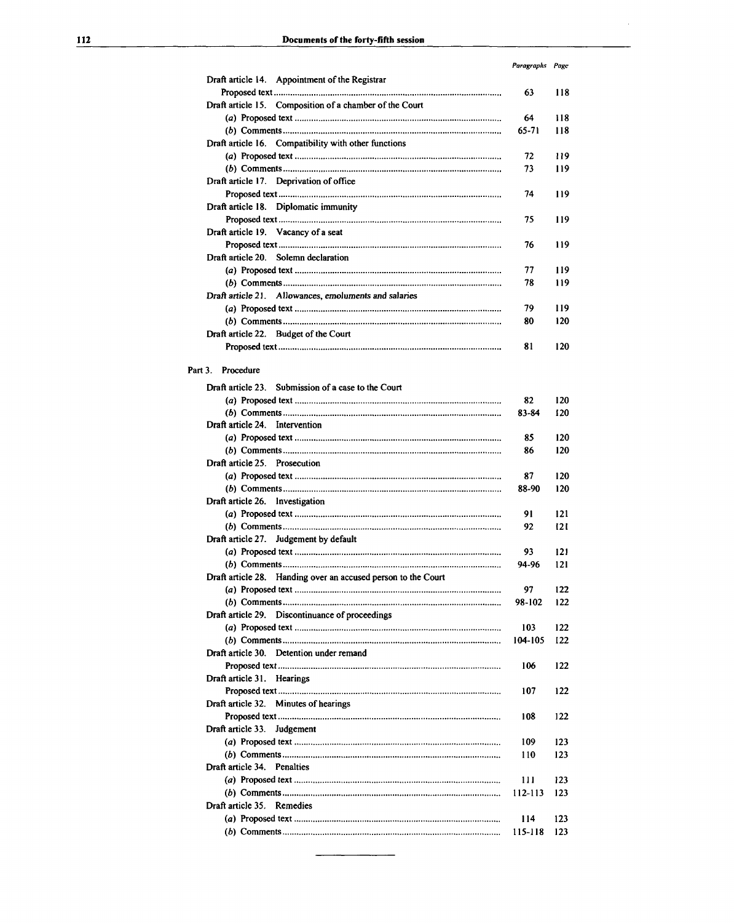|                                                                  | Paragraphs Page |     |
|------------------------------------------------------------------|-----------------|-----|
| Draft article 14. Appointment of the Registrar                   |                 |     |
|                                                                  | 63              | 118 |
| Draft article 15. Composition of a chamber of the Court          |                 |     |
|                                                                  | 64              | 118 |
|                                                                  | 65-71           | 118 |
| Draft article 16. Compatibility with other functions             |                 |     |
|                                                                  | 72              | 119 |
|                                                                  | 73              | 119 |
| Draft article 17. Deprivation of office                          |                 |     |
|                                                                  | 74              | 119 |
| Draft article 18. Diplomatic immunity                            |                 |     |
|                                                                  | 75              | 119 |
| Draft article 19. Vacancy of a seat                              |                 |     |
|                                                                  | 76              | 119 |
| Draft article 20. Solemn declaration                             |                 |     |
|                                                                  | 77              | 119 |
|                                                                  | 78              | 119 |
| Draft article 21. Allowances, emoluments and salaries            |                 |     |
|                                                                  | 79              | 119 |
|                                                                  | 80              | 120 |
| Draft article 22. Budget of the Court                            | 81              | 120 |
|                                                                  |                 |     |
| Part 3.<br>Procedure                                             |                 |     |
|                                                                  |                 |     |
| Draft article 23. Submission of a case to the Court              |                 |     |
|                                                                  | 82              | 120 |
|                                                                  | 83-84           | 120 |
| Draft article 24. Intervention                                   |                 |     |
|                                                                  | 85              | 120 |
| Draft article 25. Prosecution                                    | 86              | 120 |
|                                                                  | 87              | 120 |
|                                                                  | 88-90           | 120 |
| Draft article 26. Investigation                                  |                 |     |
|                                                                  | 91              | 121 |
|                                                                  | 92              | 121 |
| Draft article 27. Judgement by default                           |                 |     |
|                                                                  | 93              | 121 |
|                                                                  | 94-96           | 121 |
| Draft article 28.<br>Handing over an accused person to the Court |                 |     |
|                                                                  | 97              | 122 |
|                                                                  | 98-102          | 122 |
| Draft article 29. Discontinuance of proceedings                  |                 |     |
|                                                                  | 103             | 122 |
|                                                                  | 104-105         | 122 |
| Draft article 30. Detention under remand                         |                 |     |
|                                                                  | 106             | 122 |
| Draft article 31. Hearings                                       |                 |     |
|                                                                  | 107             | 122 |
| Draft article 32. Minutes of hearings                            |                 |     |
|                                                                  | 108             | 122 |
| Draft article 33.<br>Judgement                                   |                 |     |
|                                                                  | 109             | 123 |
|                                                                  | 110             | 123 |
| Draft article 34. Penalties                                      |                 |     |
|                                                                  | 111             | 123 |
|                                                                  | 112-113         | 123 |
| Draft article 35. Remedies                                       |                 |     |
|                                                                  | 114             | 123 |
|                                                                  | 115-118         | 123 |

i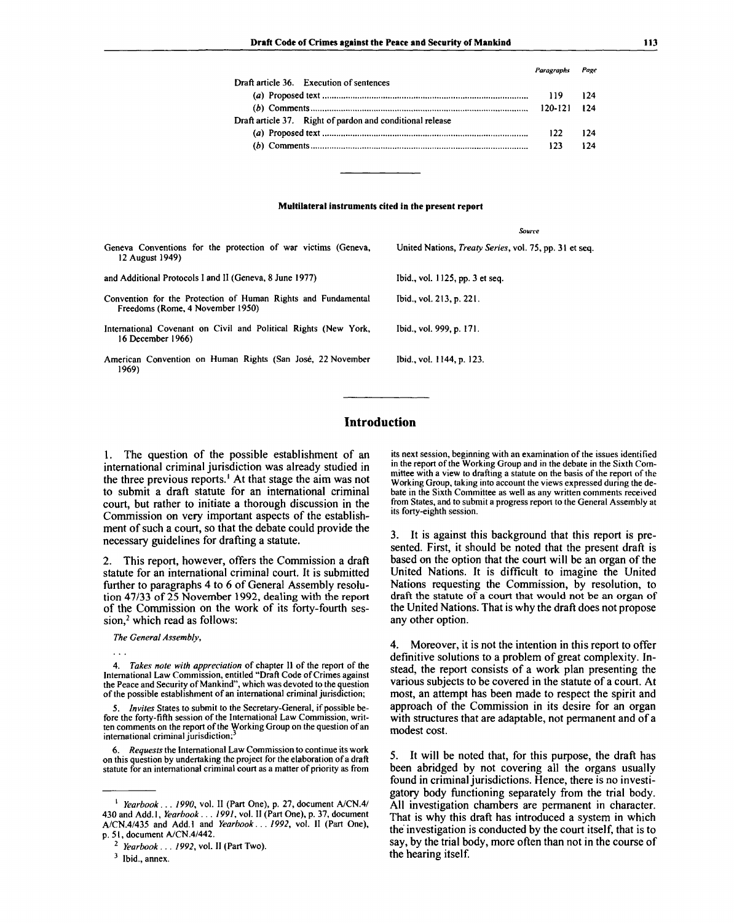*Paragraphs Page*

| Draft article 36. Execution of sentences                  |                   |     |
|-----------------------------------------------------------|-------------------|-----|
|                                                           | 119.              | 124 |
|                                                           | $120 - 121$ $124$ |     |
| Draft article 37. Right of pardon and conditional release |                   |     |
|                                                           | $122 -$           | 174 |
|                                                           | 123               | 124 |
|                                                           |                   |     |

#### **Multilateral instruments cited in the present report**

| Geneva Conventions for the protection of war victims (Geneva,<br>12 August 1949)                  | United Nations, <i>Treaty Series</i> , vol. 75, pp. 31 et seq. |
|---------------------------------------------------------------------------------------------------|----------------------------------------------------------------|
| and Additional Protocols I and II (Geneva, 8 June 1977)                                           | Ibid., vol. 1125, pp. 3 et seq.                                |
| Convention for the Protection of Human Rights and Fundamental<br>Freedoms (Rome, 4 November 1950) | Ibid., vol. 213, p. 221.                                       |
| International Covenant on Civil and Political Rights (New York,<br>16 December 1966)              | Ibid., vol. 999, p. 171.                                       |
| American Convention on Human Rights (San José, 22 November<br>1969)                               | Ibid., vol. 1144, p. 123.                                      |

# **Introduction**

1. The question of the possible establishment of an international criminal jurisdiction was already studied in the three previous reports.<sup>1</sup> At that stage the aim was not to submit a draft statute for an international criminal court, but rather to initiate a thorough discussion in the Commission on very important aspects of the establishment of such a court, so that the debate could provide the necessary guidelines for drafting a statute.

2. This report, however, offers the Commission a draft statute for an international criminal court. It is submitted further to paragraphs 4 to 6 of General Assembly resolution 47/33 of 25 November 1992, dealing with the report of the Commission on the work of its forty-fourth ses $sion<sub>z</sub><sup>2</sup> which read as follows:$ 

*The General Assembly,*

4. *Takes note with appreciation* of chapter II of the report of the International Law Commission, entitled "Draft Code of Crimes against the Peace and Security of Mankind", which was devoted to the question of the possible establishment of an international criminal jurisdiction;

5. *Invites* States to submit to the Secretary-General, if possible before the forty-fifth session of the International Law Commission, written comments on the report of the Working Group on the question of an international criminal jurisdiction;

6. *Requests* the International Law Commission to continue its work on this question by undertaking the project for the elaboration of a draft statute for an international criminal court as a matter of priority as from

1  *Yearbook... 1990,* vol. II (Part One), p. 27, document A/CN.4/ 430 and Add.l, *Yearbook. . . 1991,* vol. II (Part One), p. 37, document A/CN.4/435 and Add.l and *Yearbook. .. 1992,* vol. II (Part One), p. 51, document A/CN.4/442.

its next session, beginning with an examination of the issues identified in the report of the Working Group and in the debate in the Sixth Committee with a view to drafting a statute on the basis of the report of the Working Group, taking into account the views expressed during the debate in the Sixth Committee as well as any written comments received from States, and to submit a progress report to the General Assembly at its forty-eighth session.

*Source*

3. It is against this background that this report is presented. First, it should be noted that the present draft is based on the option that the court will be an organ of the United Nations. It is difficult to imagine the United Nations requesting the Commission, by resolution, to draft the statute of a court that would not be an organ of the United Nations. That is why the draft does not propose any other option.

4. Moreover, it is not the intention in this report to offer definitive solutions to a problem of great complexity. Instead, the report consists of a work plan presenting the various subjects to be covered in the statute of a court. At most, an attempt has been made to respect the spirit and approach of the Commission in its desire for an organ with structures that are adaptable, not permanent and of a modest cost.

5. It will be noted that, for this purpose, the draft has been abridged by not covering all the organs usually found in criminal jurisdictions. Hence, there is no investigatory body functioning separately from the trial body. All investigation chambers are permanent in character. That is why this draft has introduced a system in which the investigation is conducted by the court itself, that is to say, by the trial body, more often than not in the course of the hearing itself.

<sup>2</sup>  *Yearbook. . . 1992,* vol. II (Part Two).

 $3$  Ibid., annex.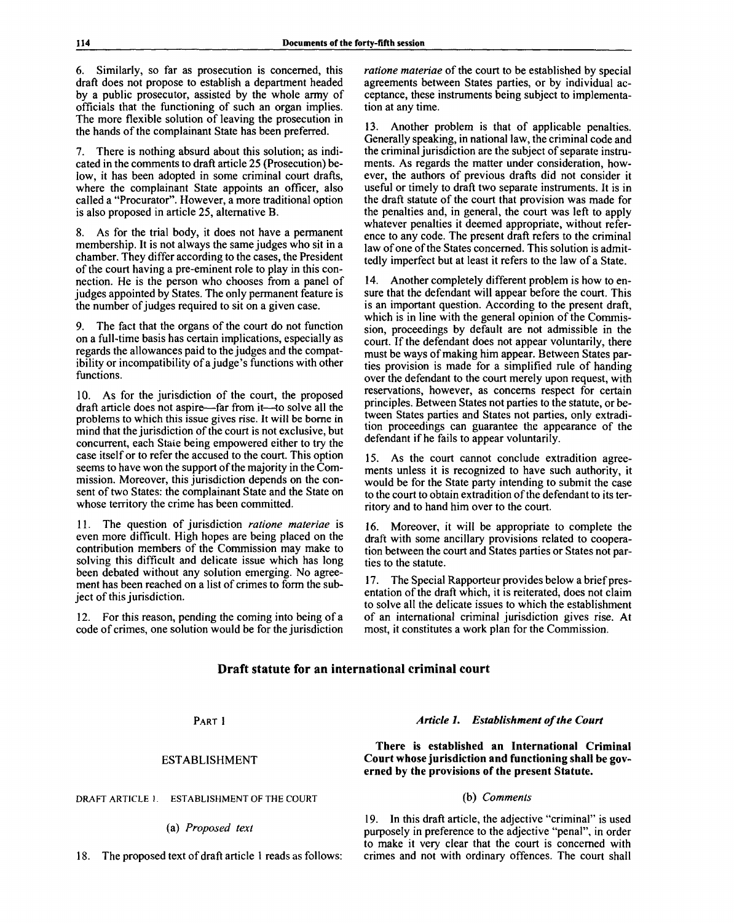6. Similarly, so far as prosecution is concerned, this draft does not propose to establish a department headed by a public prosecutor, assisted by the whole army of officials that the functioning of such an organ implies. The more flexible solution of leaving the prosecution in the hands of the complainant State has been preferred.

7. There is nothing absurd about this solution; as indicated in the comments to draft article 25 (Prosecution) below, it has been adopted in some criminal court drafts, where the complainant State appoints an officer, also called a "Procurator". However, a more traditional option is also proposed in article 25, alternative B.

8. As for the trial body, it does not have a permanent membership. It is not always the same judges who sit in a chamber. They differ according to the cases, the President of the court having a pre-eminent role to play in this connection. He is the person who chooses from a panel of judges appointed by States. The only permanent feature is the number of judges required to sit on a given case.

9. The fact that the organs of the court do not function on a full-time basis has certain implications, especially as regards the allowances paid to the judges and the compatibility or incompatibility of a judge's functions with other functions.

10. As for the jurisdiction of the court, the proposed draft article does not aspire—far from it—to solve all the problems to which this issue gives rise. It will be borne in mind that the jurisdiction of the court is not exclusive, but concurrent, each State being empowered either to try the case itself or to refer the accused to the court. This option seems to have won the support of the majority in the Commission. Moreover, this jurisdiction depends on the consent of two States: the complainant State and the State on whose territory the crime has been committed.

11. The question of jurisdiction *ratione materiae* is even more difficult. High hopes are being placed on the contribution members of the Commission may make to solving this difficult and delicate issue which has long been debated without any solution emerging. No agreement has been reached on a list of crimes to form the subject of this jurisdiction.

12. For this reason, pending the coming into being of a code of crimes, one solution would be for the jurisdiction *ratione materiae* of the court to be established by special agreements between States parties, or by individual acceptance, these instruments being subject to implementation at any time.

13. Another problem is that of applicable penalties. Generally speaking, in national law, the criminal code and the criminal jurisdiction are the subject of separate instruments. As regards the matter under consideration, however, the authors of previous drafts did not consider it useful or timely to draft two separate instruments. It is in the draft statute of the court that provision was made for the penalties and, in general, the court was left to apply whatever penalties it deemed appropriate, without reference to any code. The present draft refers to the criminal law of one of the States concerned. This solution is admittedly imperfect but at least it refers to the law of a State.

14. Another completely different problem is how to ensure that the defendant will appear before the court. This is an important question. According to the present draft, which is in line with the general opinion of the Commission, proceedings by default are not admissible in the court. If the defendant does not appear voluntarily, there must be ways of making him appear. Between States parties provision is made for a simplified rule of handing over the defendant to the court merely upon request, with reservations, however, as concerns respect for certain principles. Between States not parties to the statute, or between States parties and States not parties, only extradition proceedings can guarantee the appearance of the defendant if he fails to appear voluntarily.

15. As the court cannot conclude extradition agreements unless it is recognized to have such authority, it would be for the State party intending to submit the case to the court to obtain extradition of the defendant to its territory and to hand him over to the court.

16. Moreover, it will be appropriate to complete the draft with some ancillary provisions related to cooperation between the court and States parties or States not parties to the statute.

17. The Special Rapporteur provides below a brief presentation of the draft which, it is reiterated, does not claim to solve all the delicate issues to which the establishment of an international criminal jurisdiction gives rise. At most, it constitutes a work plan for the Commission.

# **Draft statute for an international criminal court**

PART 1

# ESTABLISHMENT

**DRAFT ARTICLE 1. ESTABLISHMENT OF THE COURT**

(a) *Proposed text*

18. The proposed text of draft article 1 reads as follows:

# *Article 1. Establishment of the Court*

**There is established an International Criminal Court whose jurisdiction and functioning shall be governed by the provisions of the present Statute.**

# (b) *Comments*

19. In this draft article, the adjective "criminal" is used purposely in preference to the adjective "penal", in order to make it very clear that the court is concerned with crimes and not with ordinary offences. The court shall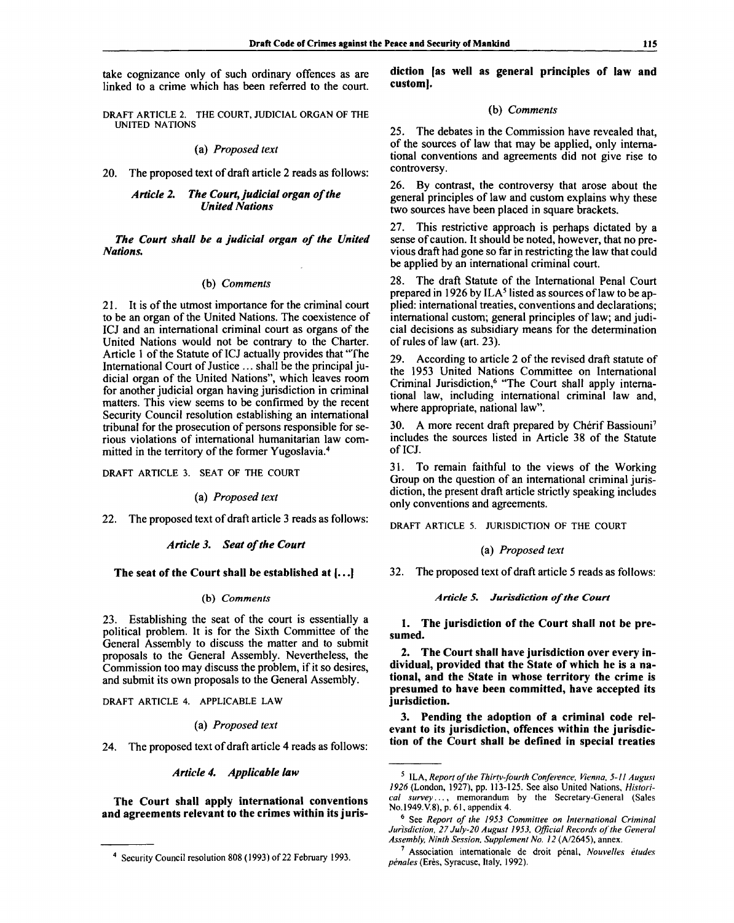take cognizance only of such ordinary offences as are linked to a crime which has been referred to the court.

DRAFT ARTICLE 2. THE COURT, JUDICIAL ORGAN OF THE UNITED NATIONS

## (a) *Proposed text*

20. The proposed text of draft article 2 reads as follows:

# *Article 2. The Court, judicial organ of the United Nations*

*The Court shall be a judicial organ of the United Nations.*

# (b) *Comments*

21. It is of the utmost importance for the criminal court to be an organ of the United Nations. The coexistence of ICJ and an international criminal court as organs of the United Nations would not be contrary to the Charter. Article 1 of the Statute of ICJ actually provides that "The International Court of Justice ... shall be the principal judicial organ of the United Nations", which leaves room for another judicial organ having jurisdiction in criminal matters. This view seems to be confirmed by the recent Security Council resolution establishing an international tribunal for the prosecution of persons responsible for serious violations of international humanitarian law committed in the territory of the former Yugoslavia.<sup>4</sup>

DRAFT ARTICLE 3. SEAT OF THE COURT

### (a) *Proposed text*

22. The proposed text of draft article 3 reads as follows:

### *Article 3. Seat of the Court*

# **The seat of the Court shall be established at [.**.**.]**

# (b) *Comments*

23. Establishing the seat of the court is essentially a political problem. It is for the Sixth Committee of the General Assembly to discuss the matter and to submit proposals to the General Assembly. Nevertheless, the Commission too may discuss the problem, if it so desires, and submit its own proposals to the General Assembly.

DRAFT ARTICLE 4. APPLICABLE LAW

### (a) *Proposed text*

24. The proposed text of draft article 4 reads as follows:

*Article 4. Applicable law*

**The Court shall apply international conventions and agreements relevant to the crimes within its juris-** **diction [as well as general principles of law and custom].**

# **(b)** *Comments*

25. The debates in the Commission have revealed that, of the sources of law that may be applied, only international conventions and agreements did not give rise to controversy.

26. By contrast, the controversy that arose about the general principles of law and custom explains why these two sources have been placed in square brackets.

27. This restrictive approach is perhaps dictated by a sense of caution. It should be noted, however, that no previous draft had gone so far in restricting the law that could be applied by an international criminal court.

28. The draft Statute of the International Penal Court prepared in 1926 by ILA<sup>5</sup> listed as sources of law to be applied: international treaties, conventions and declarations; international custom; general principles of law; and judicial decisions as subsidiary means for the determination of rules of law (art. 23).

29. According to article 2 of the revised draft statute of the 1953 United Nations Committee on International Criminal Jurisdiction,<sup>6</sup> "The Court shall apply international law, including international criminal law and, where appropriate, national law".

30. A more recent draft prepared by Chérif Bassiouni<sup>7</sup> includes the sources listed in Article 38 of the Statute of ICJ.

31. To remain faithful to the views of the Working Group on the question of an international criminal jurisdiction, the present draft article strictly speaking includes only conventions and agreements.

DRAFT ARTICLE 5. JURISDICTION OF THE COURT

### (a) *Proposed text*

32. The proposed text of draft article 5 reads as follows:

### *Article 5. Jurisdiction of the Court*

**1. The jurisdiction of the Court shall not be presumed.**

**2. The Court shall have jurisdiction over every individual, provided that the State of which he is a national, and the State in whose territory the crime is presumed to have been committed, have accepted its jurisdiction.**

**3. Pending the adoption of a criminal code relevant to its jurisdiction, offences within the jurisdiction of the Court shall be defined in special treaties**

Security Council resolution 808 (1993) of 22 February 1993.

<sup>5</sup> ILA, *Report of the Thirty-fourth Conference, Vienna, 5-11 August 1926* (London, 1927), pp. 113-125. See also United Nations, *Historical survey*..., memorandum by the Secretary-General (Sales No.l949.V.8), p. 61, appendix 4.

<sup>6</sup> See *Report of the 1953 Committee on International Criminal Jurisdiction, 27 July-20 August 1953, Official Records of the General Assembly, Ninth Session, Supplement No. 12* (A/2645), annex.

<sup>&</sup>lt;sup>7</sup> Association internationale de droit pénal, Nouvelles études pénales (Erès, Syracuse, Italy, 1992).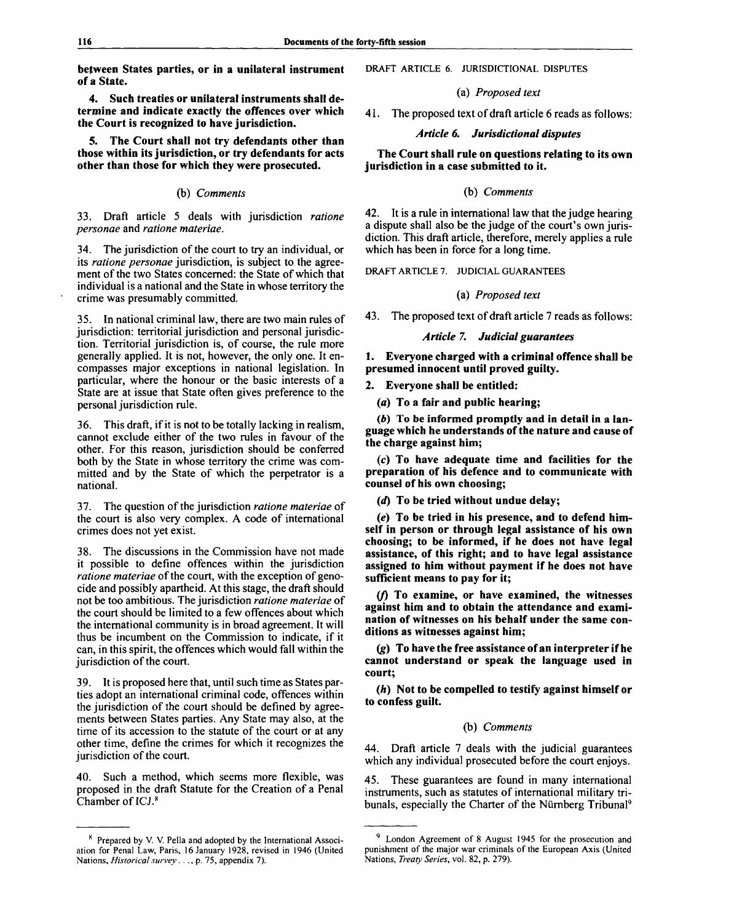**between States parties, or in a unilateral instrument of a State.**

**4. Such treaties or unilateral instruments shall determine and indicate exactly the offences over which the Court is recognized to have jurisdiction.**

**5. The Court shall not try defendants other than those within its jurisdiction, or try defendants for acts other than those for which they were prosecuted.**

# (b) *Comments*

33. Draft article 5 deals with jurisdiction *ratione personae* and *ratione materiae.*

34. The jurisdiction of the court to try an individual, or its *ratione personae* jurisdiction, is subject to the agreement of the two States concerned: the State of which that individual is a national and the State in whose territory the crime was presumably committed.

35. In national criminal law, there are two main rules of jurisdiction: territorial jurisdiction and personal jurisdiction. Territorial jurisdiction is, of course, the rule more generally applied. It is not, however, the only one. It encompasses major exceptions in national legislation. In particular, where the honour or the basic interests of a State are at issue that State often gives preference to the personal jurisdiction rule.

36. This draft, if it is not to be totally lacking in realism, cannot exclude either of the two rules in favour of the other. For this reason, jurisdiction should be conferred both by the State in whose territory the crime was committed and by the State of which the perpetrator is a national.

37. The question of the jurisdiction *ratione materiae* of the court is also very complex. A code of international crimes does not yet exist.

38. The discussions in the Commission have not made it possible to define offences within the jurisdiction *ratione materiae* of the court, with the exception of genocide and possibly apartheid. At this stage, the draft should not be too ambitious. The jurisdiction *ratione materiae* of the court should be limited to a few offences about which the international community is in broad agreement. It will thus be incumbent on the Commission to indicate, if it can, in this spirit, the offences which would fall within the jurisdiction of the court.

39. It is proposed here that, until such time as States parties adopt an international criminal code, offences within the jurisdiction of the court should be defined by agreements between States parties. Any State may also, at the time of its accession to the statute of the court or at any other time, define the crimes for which it recognizes the jurisdiction of the court.

40. Such a method, which seems more flexible, was proposed in the draft Statute for the Creation of a Penal Chamber of ICJ.<sup>8</sup>

### DRAFT ARTICLE 6. JURISDICTIONAL DISPUTES

(a) *Proposed text*

*4*1. The proposed text of draft article 6 reads as follows:

*Article 6. Jurisdictional disputes*

**The Court shall rule on questions relating to its own jurisdiction in a case submitted to it.**

# (b) *Comments*

42. It is a rule in international law that the judge hearing a dispute shall also be the judge of the court's own jurisdiction. This draft article, therefore, merely applies a rule which has been in force for a long time.

DRAFT ARTICLE 7. JUDICIAL GUARANTEES

### (a) *Proposed text*

43. The proposed text of draft article 7 reads as follows:

# *Article* **7.** *Judicial guarantees*

**1. Everyone charged with a criminal offence shall be presumed innocent until proved guilty.**

**2. Everyone shall be entitled:**

*(a)* **To a fair and public hearing;**

*(b)* **To be informed promptly and in detail in a language which he understands of the nature and cause of the charge against him;**

*(c)* **To have adequate time and facilities for the preparation of his defence and to communicate with counsel of his own choosing;**

*(d)* **To be tried without undue delay;**

*(e)* **To be tried in his presence, and to defend himself in person or through legal assistance of his own choosing; to be informed, if he does not have legal assistance, of this right; and to have legal assistance assigned to him without payment if he does not have sufficient means to pay for it;**

**(/) To examine, or have examined, the witnesses against him and to obtain the attendance and examination of witnesses on his behalf under the same conditions as witnesses against him;**

*(g)* **To have the free assistance of an interpreter if he cannot understand or speak the language used in court;**

*(h)* **Not to be compelled to testify against himself or to confess guilt.**

### (b) *Comments*

44. Draft article 7 deals with the judicial guarantees which any individual prosecuted before the court enjoys.

45. These guarantees are found in many international instruments, such as statutes of international military tribunals, especially the Charter of the Nürnberg Tribunal<sup>9</sup>

<sup>&</sup>lt;sup>8</sup> Prepared by V. V. Pella and adopted by the International Association for Penal Law, Paris, 16 January 1928, revised in 1946 (United Nations, *Historical survey.* . ., p. 75, appendix 7).

<sup>&</sup>lt;sup>9</sup> London Agreement of 8 August 1945 for the prosecution and punishment of the major war criminals of the European Axis (United Nations, *Treaty Series,* vol. 82, p. 279).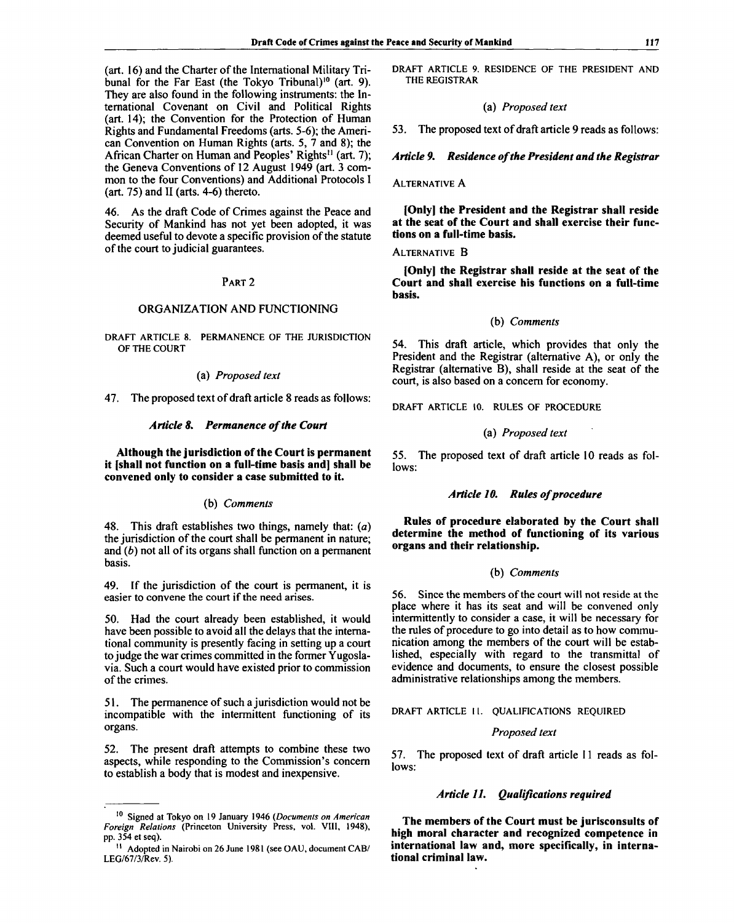(art. 16) and the Charter of the International Military Tribunal for the Far East (the Tokyo Tribunal)<sup>10</sup> (art. 9). They are also found in the following instruments: the International Covenant on Civil and Political Rights (art. 14); the Convention for the Protection of Human Rights and Fundamental Freedoms (arts. 5-6); the American Convention on Human Rights (arts. 5, 7 and 8); the African Charter on Human and Peoples' Rights<sup>11</sup> (art. 7); the Geneva Conventions of 12 August 1949 (art. 3 common to the four Conventions) and Additional Protocols I (art. 75) and II (arts. 4-6) thereto.

46. As the draft Code of Crimes against the Peace and Security of Mankind has not yet been adopted, it was deemed useful to devote a specific provision of the statute of the court to judicial guarantees.

# PART 2

# ORGANIZATION AND FUNCTIONING

DRAFT ARTICLE 8. PERMANENCE OF THE JURISDICTION OF THE COURT

### (a) *Proposed text*

47. The proposed text of draft article 8 reads as follows:

### *Article 8. Permanence of the Court*

**Although the jurisdiction of the Court is permanent it [shall not function on a full-time basis and] shall be convened only to consider a case submitted to it.**

# (b) *Comments*

48. This draft establishes two things, namely that: *(a)* the jurisdiction of the court shall be permanent in nature; and *(b)* not all of its organs shall function on a permanent basis.

49. If the jurisdiction of the court is permanent, it is easier to convene the court if the need arises.

50. Had the court already been established, it would have been possible to avoid all the delays that the international community is presently facing in setting up a court to judge the war crimes committed in the former Yugoslavia. Such a court would have existed prior to commission of the crimes.

51. The permanence of such a jurisdiction would not be incompatible with the intermittent functioning of its organs.

52. The present draft attempts to combine these two aspects, while responding to the Commission's concern to establish a body that is modest and inexpensive.

DRAFT ARTICLE 9. RESIDENCE OF THE PRESIDENT AND THE REGISTRAR

### (a) *Proposed text*

53. The proposed text of draft article 9 reads as follows:

### *Article 9. Residence of the President and the Registrar*

### ALTERNATIVE A

**[Only] the President and the Registrar shall reside at the seat of the Court and shall exercise their functions on a full-time basis.**

### ALTERNATIVE B

**[Only] the Registrar shall reside at the seat of the Court and shall exercise his functions on a full-time basis.**

### **(b)** *Comments*

54. This draft article, which provides that only the President and the Registrar (alternative A), or only the Registrar (alternative B), shall reside at the seat of the court, is also based on a concern for economy.

DRAFT ARTICLE 10. RULES OF PROCEDURE

#### (a) *Proposed text*

55. The proposed text of draft article 10 reads as follows:

### *Article 10. Rules of procedure*

**Rules of procedure elaborated by the Court shall determine the method of functioning of its various organs and their relationship.**

### (b) *Comments*

56. Since the members of the court will not reside at the place where it has its seat and will be convened only intermittently to consider a case, it will be necessary for the rules of procedure to go into detail as to how communication among the members of the court will be established, especially with regard to the transmittal of evidence and documents, to ensure the closest possible administrative relationships among the members.

DRAFT ARTICLE II. QUALIFICATIONS REQUIRED

### *Proposed text*

57. The proposed text of draft article 11 reads as follows:

# *Article 11. Qualifications required*

**The members of the Court must be jurisconsults of high moral character and recognized competence in international law and, more specifically, in international criminal law.**

<sup>10</sup> Signed at Tokyo on 19 January 1946 *(Documents on American Foreign Relations* (Princeton University Press, vol. VIII, 1948), pp. 354 et seq).

<sup>&</sup>lt;sup>11</sup> Adopted in Nairobi on 26 June 1981 (see OAU, document CAB/ LEG/67/3/Rev. 5).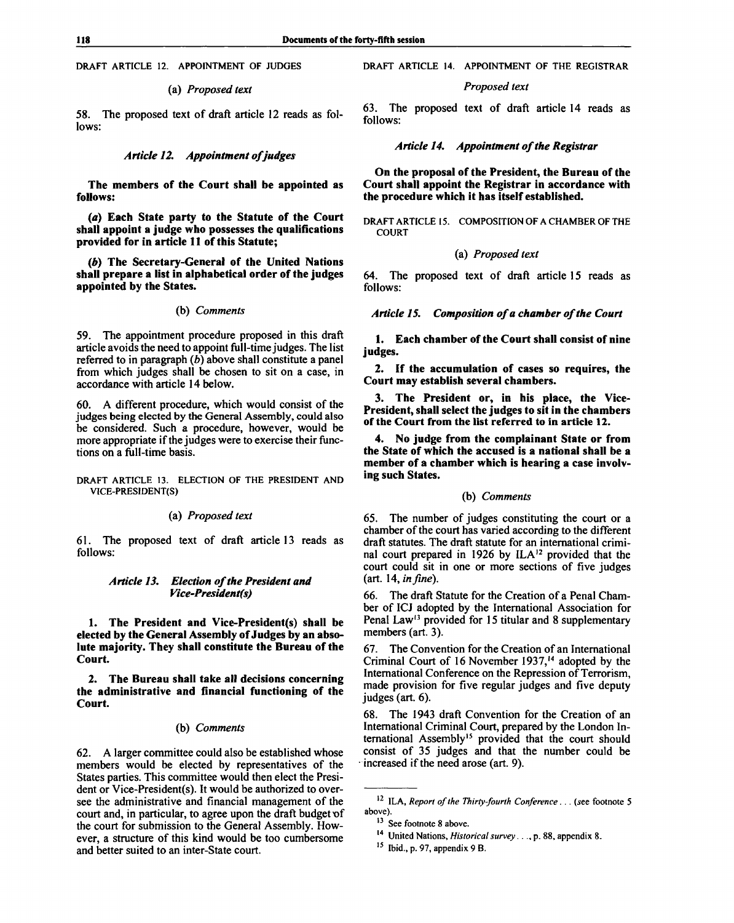**DRAFT ARTICLE 12. APPOINTMENT OF JUDGES**

### (a) *Proposed text*

58. The proposed text of draft article 12 reads as follows:

# *Article 12. Appointment of judges*

**The members of the Court shall be appointed as follows:**

*(a)* **Each State party to the Statute of the Court shall appoint a judge who possesses the qualifications provided for in article 11 of this Statute;**

*(b)* **The Secretary-General of the United Nations shall prepare a list in alphabetical order of the judges appointed by the States.**

### (b) *Comments*

59. The appointment procedure proposed in this draft article avoids the need to appoint full-time judges. The list referred to in paragraph *(b)* above shall constitute a panel from which judges shall be chosen to sit on a case, in accordance with article 14 below.

60. A different procedure, which would consist of the judges being elected by the General Assembly, could also be considered. Such a procedure, however, would be more appropriate if the judges were to exercise their functions on a full-time basis.

**DRAFT ARTICLE 13. ELECTION OF THE PRESIDENT AND VICE-PRESIDENT(S)**

# (a) *Proposed text*

61. The proposed text of draft article 13 reads as follows:

# *Article 13. Election of the President and Vice-President(s)*

**1. The President and Vice-President(s) shall be elected by the General Assembly of Judges by an absolute majority. They shall constitute the Bureau of the Court.**

**2. The Bureau shall take all decisions concerning the administrative and financial functioning of the Court.**

### (b) *Comments*

62. A larger committee could also be established whose members would be elected by representatives of the States parties. This committee would then elect the President or Vice-President(s). It would be authorized to oversee the administrative and financial management of the court and, in particular, to agree upon the draft budget of the court for submission to the General Assembly. However, a structure of this kind would be too cumbersome and better suited to an inter-State court.

### **DRAFT ARTICLE 14. APPOINTMENT OF THE REGISTRAR**

### *Proposed text*

63. The proposed text of draft article 14 reads as follows:

### *Article 14. Appointment of the Registrar*

**On the proposal of the President, the Bureau of the Court shall appoint the Registrar in accordance with the procedure which it has itself established.**

**DRAFT ARTICLE 15. COMPOSITION OF A CHAMBER OF THE COURT**

### (a) *Proposed text*

64. The proposed text of draft article 15 reads as follows:

*Article 15. Composition of a chamber of the Court*

**1. Each chamber of the Court shall consist of nine judges.**

**2. If the accumulation of cases so requires, the Court may establish several chambers.**

**3. The President or, in his place, the Vice-President, shall select the judges to sit in the chambers of the Court from the list referred to in article 12.**

**4. No judge from the complainant State or from the State of which the accused is a national shall be a member of a chamber which is hearing a case involving such States.**

# (b) *Comments*

65. The number of judges constituting the court or a chamber of the court has varied according to the different draft statutes. The draft statute for an international criminal court prepared in 1926 by ILA<sup>12</sup> provided that the court could sit in one or more sections of five judges (art. 14, *in fine).*

66. The draft Statute for the Creation of a Penal Chamber of ICJ adopted by the International Association for Penal Law<sup>13</sup> provided for 15 titular and 8 supplementary members (art. 3).

67. The Convention for the Creation of an International Criminal Court of 16 November 1937,<sup>14</sup> adopted by the International Conference on the Repression of Terrorism, made provision for five regular judges and five deputy judges (art. 6).

68. The 1943 draft Convention for the Creation of an International Criminal Court, prepared by the London International Assembly<sup>15</sup> provided that the court should consist of 35 judges and that the number could be increased if the need arose (art. 9).

<sup>12</sup> ILA, *Report of the Thirty-fourth Conference. . . {see* footnote 5 above).

<sup>&</sup>lt;sup>13</sup> See footnote 8 above.

<sup>14</sup> United Nations, *Historical survey. .* ., p. 88, appendix 8.

<sup>15</sup>  **Ibid.,** p. 97, appendix 9 B.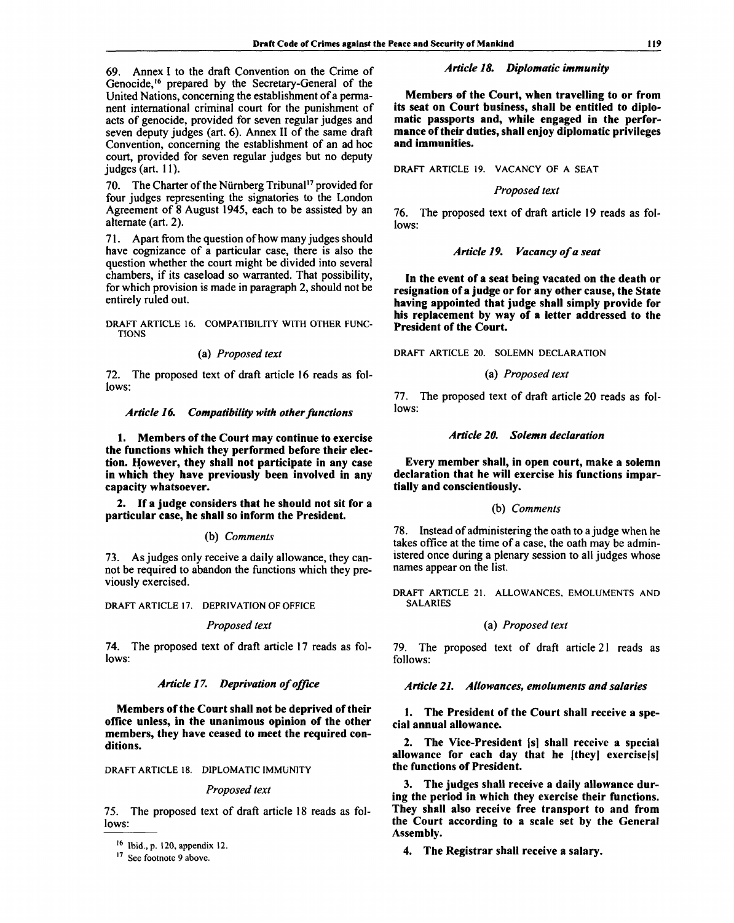69. Annex I to the draft Convention on the Crime of Genocide,<sup>16</sup> prepared by the Secretary-General of the United Nations, concerning the establishment of a permanent international criminal court for the punishment of acts of genocide, provided for seven regular judges and seven deputy judges (art. 6). Annex II of the same draft Convention, concerning the establishment of an ad hoc court, provided for seven regular judges but no deputy judges (art. 11).

70. The Charter of the Nürnberg Tribunal<sup>17</sup> provided for four judges representing the signatories to the London Agreement of 8 August 1945, each to be assisted by an alternate (art. 2).

71. Apart from the question of how many judges should have cognizance of a particular case, there is also the question whether the court might be divided into several chambers, if its caseload so warranted. That possibility, for which provision is made in paragraph 2, should not be entirely ruled out.

DRAFT ARTICLE 16. COMPATIBILITY WITH OTHER FUNC-TIONS

### (a) *Proposed text*

72. The proposed text of draft article 16 reads as follows:

### *Article 16. Compatibility with other functions*

**1. Members of the Court may continue to exercise the functions which they performed before their election. However, they shall not participate in any case in which they have previously been involved in any capacity whatsoever.**

**2. If a judge considers that he should not sit for a particular case, he shall so inform the President.**

### **(b)** *Comments*

73. As judges only receive a daily allowance, they cannot be required to abandon the functions which they previously exercised.

DRAFT ARTICLE 17. DEPRIVATION OF OFFICE

### *Proposed text*

74. The proposed text of draft article 17 reads as follows:

### *Article 17. Deprivation of office*

**Members of the Court shall not be deprived of their office unless, in the unanimous opinion of the other members, they have ceased to meet the required conditions.**

DRAFT ARTICLE 18. DIPLOMATIC IMMUNITY

#### *Proposed text*

75. The proposed text of draft article 18 reads as follows:

# *Article 18. Diplomatic immunity*

**Members of the Court, when travelling to or from its seat on Court business, shall be entitled to diplomatic passports and, while engaged in the performance of their duties, shall enjoy diplomatic privileges and immunities.**

DRAFT ARTICLE 19. VACANCY OF A SEAT

#### *Proposed text*

76. The proposed text of draft article 19 reads as follows:

### *Article 19. Vacancy of a seat*

**In the event of a seat being vacated on the death or resignation of a judge or for any other cause, the State having appointed that judge shall simply provide for his replacement by way of a letter addressed to the President of the Court.**

DRAFT ARTICLE 20. SOLEMN DECLARATION

### (a) *Proposed text*

*11.* The proposed text of draft article 20 reads as follows:

# *Article 20. Solemn declaration*

**Every member shall, in open court, make a solemn declaration that he will exercise his functions impartially and conscientiously.**

### (b) *Comments*

78. Instead of administering the oath to a judge when he takes office at the time of a case, the oath may be administered once during a plenary session to all judges whose names appear on the list.

DRAFT ARTICLE 21. ALLOWANCES, EMOLUMENTS AND SALARIES

# (a) *Proposed text*

79. The proposed text of draft article 21 reads as follows:

### *Article 21. Allowances^ emoluments and salaries*

**1. The President of the Court shall receive a special annual allowance.**

**2. The Vice-President |s] shall receive a special allowance for each day that he [they] exercisefs] the functions of President.**

**3. The judges shall receive a daily allowance during the period in which they exercise their functions. They shall also receive free transport to and from the Court according to a scale set by the General Assembly.**

**4. The Registrar shall** receive **a salary.**

<sup>&</sup>lt;sup>16</sup> Ibid., p. 120, appendix 12.

<sup>&</sup>lt;sup>17</sup> See footnote 9 above.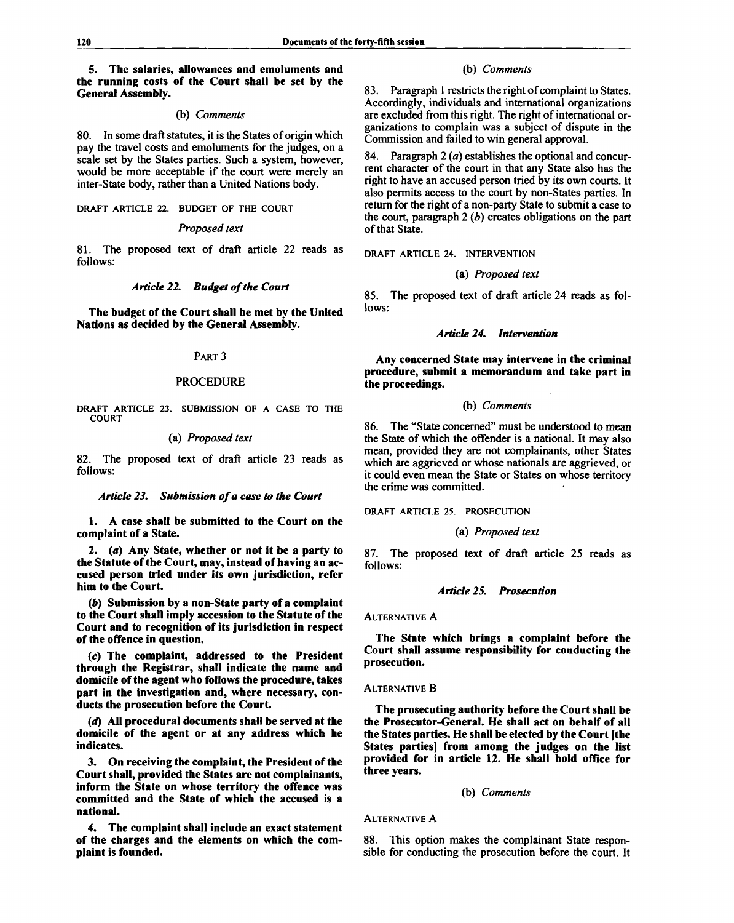# **5. The salaries, allowances and emoluments and the running costs of the Court shall be set by the General Assembly.**

### (b) *Comments*

80. In some draft statutes, it is the States of origin which pay the travel costs and emoluments for the judges, on a scale set by the States parties. Such a system, however, would be more acceptable if the court were merely an inter-State body, rather than a United Nations body.

**DRAFT ARTICLE 22. BUDGET OF THE COURT**

# *Proposed text*

81. The proposed text of draft article 22 reads as follows:

# *Article 22. Budget of the Court*

**The budget of the Court shall be met by the United Nations as decided by the General Assembly.**

#### PART 3

# PROCEDURE

**DRAFT ARTICLE 23. SUBMISSION OF A CASE TO THE COURT**

# (a) *Proposed text*

82. The proposed text of draft article 23 reads as follows:

### *Article 23. Submission of a case to the Court*

**1.** A **case shall be submitted to the Court on the complaint of a State.**

**2.** *(a)* **Any State, whether or not it be a party to the Statute of the Court, may, instead of having an accused person tried under its own jurisdiction, refer him to the Court.**

*(b)* **Submission by a non-State party of a complaint to the Court shall imply accession to the Statute of the Court and to recognition of its jurisdiction in respect of the offence in question.**

*(c)* **The complaint, addressed to the President through the Registrar, shall indicate the name and domicile of the agent who follows the procedure, takes part in the investigation and, where necessary, conducts the prosecution before the Court.**

*(d)* **All procedural documents shall be served at the domicile of the agent or at any address which he indicates.**

**3. On receiving the complaint, the President of the Court shall, provided the States are not complainants, inform the State on whose territory the offence was committed and the State of which the accused is a national.**

**4. The complaint shall include an exact statement of the charges and the elements on which the complaint is founded.**

### (b) *Comments*

83. Paragraph 1 restricts the right of complaint to States. Accordingly, individuals and international organizations are excluded from this right. The right of international organizations to complain was a subject of dispute in the Commission and failed to win general approval.

84. Paragraph 2 *(a)* establishes the optional and concurrent character of the court in that any State also has the right to have an accused person tried by its own courts. It also permits access to the court by non-States parties. In return for the right of a non-party State to submit a case to the court, paragraph 2 *(b)* creates obligations on the part of that State.

**DRAFT ARTICLE 24. INTERVENTION**

**(a)** *Proposed text*

85. The proposed text of draft article 24 reads as follows:

### *Article 24. Intervention*

**Any concerned State may intervene in the criminal procedure, submit a memorandum and take part in the proceedings.**

### **(b)** *Comments*

86. The "State concerned" must be understood to mean the State of which the offender is a national. It may also mean, provided they are not complainants, other States which are aggrieved or whose nationals are aggrieved, or it could even mean the State or States on whose territory the crime was committed.

**DRAFT ARTICLE 25. PROSECUTION**

### (a) *Proposed text*

87. The proposed text of draft article 25 reads as follows:

#### *Article 25. Prosecution*

### ALTERNATIVE A

**The State which brings a complaint before the Court shall assume responsibility for conducting the prosecution.**

### ALTERNATIVE B

**The prosecuting authority before the Court shall be the Prosecutor-General. He shall act on behalf of all the States parties. He shall be elected by the Court [the States parties] from among the judges on the list provided for in article 12. He shall hold office for three years.**

### (b) *Comments*

### ALTERNATIVE A

88. This option makes the complainant State responsible for conducting the prosecution before the court. It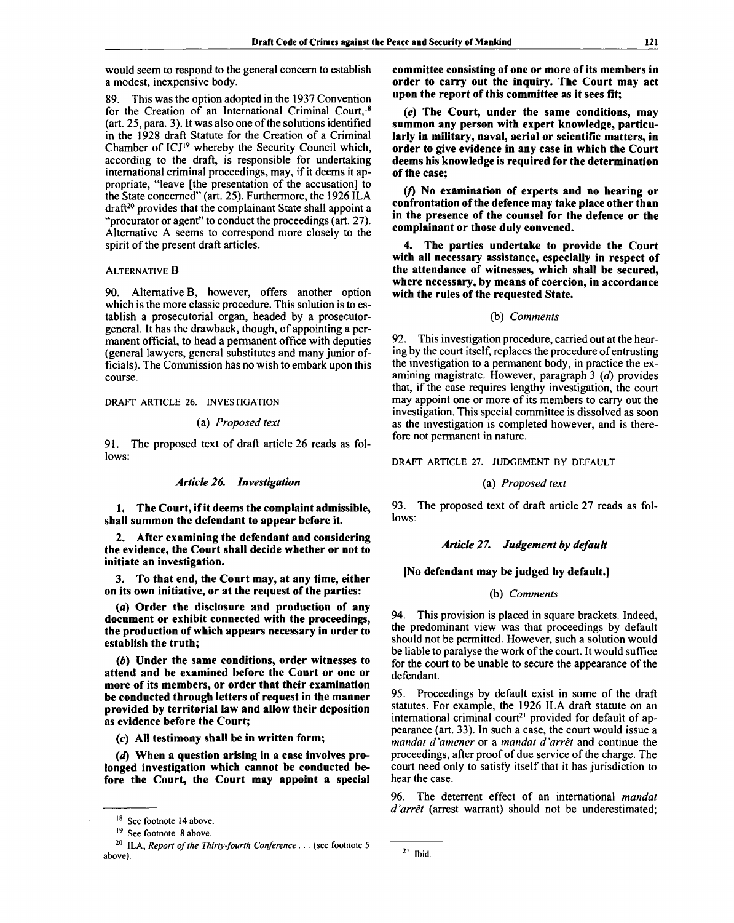would seem to respond to the general concern to establish a modest, inexpensive body.

89. This was the option adopted in the 1937 Convention for the Creation of an International Criminal Court,<sup>18</sup> (art. 25, para. 3). It was also one of the solutions identified in the 1928 draft Statute for the Creation of a Criminal Chamber of ICJ<sup>19</sup> whereby the Security Council which, according to the draft, is responsible for undertaking international criminal proceedings, may, if it deems it appropriate, "leave [the presentation of the accusation] to the State concerned" (art. 25). Furthermore, the 1926 ILA draft<sup>20</sup> provides that the complainant State shall appoint a "procurator or agent" to conduct the proceedings (art. 27). Alternative A seems to correspond more closely to the spirit of the present draft articles.

# ALTERNATIVE B

90. Alternative B, however, offers another option which is the more classic procedure. This solution is to establish a prosecutorial organ, headed by a prosecutorgeneral. It has the drawback, though, of appointing a permanent official, to head a permanent office with deputies (general lawyers, general substitutes and many junior officials). The Commission has no wish to embark upon this course.

DRAFT ARTICLE 26. INVESTIGATION

# (a) *Proposed text*

91. The proposed text of draft article 26 reads as follows:

# *Article 26. Investigation*

**1. The Court, if it deems the complaint admissible, shall summon the defendant to appear before it.**

**2. After examining the defendant and considering the evidence, the Court shall decide whether or not to initiate an investigation.**

**3. To that end, the Court may, at any time, either on its own initiative, or at the request of the parties:**

**(a) Order the disclosure and production of any document or exhibit connected with the proceedings, the production of which appears necessary in order to establish the truth;**

*(b)* **Under the same conditions, order witnesses to attend and be examined before the Court or one or more of its members, or order that their examination be conducted through letters of request in the manner provided by territorial law and allow their deposition as evidence before the Court;**

**(c) AH testimony shall be in written form;**

*(d)* **When a question arising in a case involves prolonged investigation which cannot be conducted before the Court, the Court may appoint a special** **committee consisting of one or more of its members in order to carry out the inquiry. The Court may act upon the report of this committee as it sees fit;**

*(e)* **The Court, under the same conditions, may summon any person with expert knowledge, particularly in military, naval, aerial or scientific matters, in order to give evidence in any case in which the Court deems his knowledge is required for the determination of the case;**

*(J)* **No examination of experts and no hearing or confrontation of the defence may take place other than in the presence of the counsel for the defence or the complainant or those duly convened.**

**4. The parties undertake to provide the Court with all necessary assistance, especially in respect of the attendance of witnesses, which shall be secured, where necessary, by means of coercion, in accordance with the rules of the requested State.**

### (b) *Comments*

92. This investigation procedure, carried out at the hearing by the court itself, replaces the procedure of entrusting the investigation to a permanent body, in practice the examining magistrate. However, paragraph 3 *(d)* provides that, if the case requires lengthy investigation, the court may appoint one or more of its members to carry out the investigation. This special committee is dissolved as soon as the investigation is completed however, and is therefore not permanent in nature.

DRAFT ARTICLE 27. JUDGEMENT BY DEFAULT

# (a) *Proposed text*

93. The proposed text of draft article 27 reads as follows:

### *Article 2 7. Judgement by default*

## **[No defendant may be judged by default.]**

### (b) *Comments*

94. This provision is placed in square brackets. Indeed, the predominant view was that proceedings by default should not be permitted. However, such a solution would be liable to paralyse the work of the court. It would suffice for the court to be unable to secure the appearance of the defendant.

95. Proceedings by default exist in some of the draft statutes. For example, the 1926 ILA draft statute on an international criminal court<sup>21</sup> provided for default of appearance (art. 33). In such a case, the court would issue a *mandat d 'amener* or a *mandat d 'arret* and continue the proceedings, after proof of due service of the charge. The court need only to satisfy itself that it has jurisdiction to hear the case.

96. The deterrent effect of an international *mandat d'arret* (arrest warrant) should not be underestimated;

<sup>&</sup>lt;sup>18</sup> See footnote 14 above.

<sup>&</sup>lt;sup>19</sup> See footnote 8 above.

<sup>20</sup> ILA, *Report of the Thirty-fourth Conference. . .* (see footnote 5 above).

 $21$  Ibid.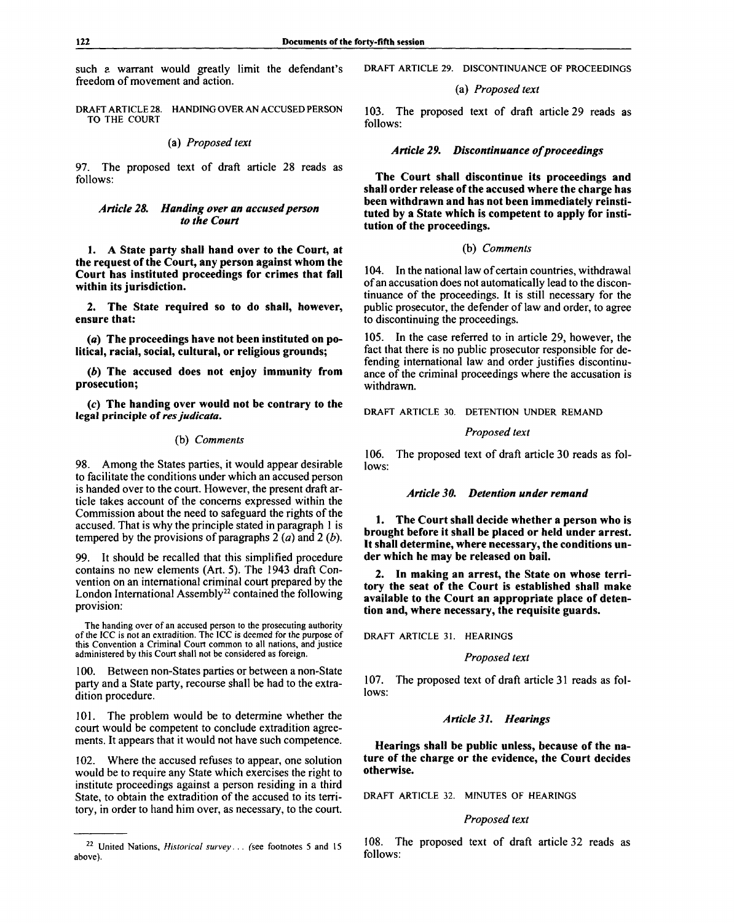such a warrant would greatly limit the defendant's freedom of movement and action.

DRAFT ARTICLE 28. HANDING OVER AN ACCUSED PERSON TO THE COURT

# (a) *Proposed text*

97. The proposed text of draft article 28 reads as follows:

# *Article 28. Handing over an accused person to the Court*

**1. A State party shall hand over to the Court, at the request of the Court, any person against whom the Court has instituted proceedings for crimes that fall within its jurisdiction.**

**2. The State required so to do shall, however, ensure that:**

**(a) The proceedings have not been instituted on political, racial, social, cultural, or religious grounds;**

*(b)* **The accused does not enjoy immunity from prosecution;**

**(c) The handing over would not be contrary to the legal principle** of *res judicata.*

### (b) *Comments*

98. Among the States parties, it would appear desirable to facilitate the conditions under which an accused person is handed over to the court. However, the present draft article takes account of the concerns expressed within the Commission about the need to safeguard the rights of the accused. That is why the principle stated in paragraph 1 is tempered by the provisions of paragraphs 2 *(a)* and 2 *(b).*

99. It should be recalled that this simplified procedure contains no new elements (Art. 5). The 1943 draft Convention on an international criminal court prepared by the London International Assembly<sup>22</sup> contained the following provision:

The handing over of an accused person to the prosecuting authority of the ICC is not an extradition. The ICC is deemed for the purpose of this Convention a Criminal Court common to all nations, and justice administered by this Court shall not be considered as foreign.

100. Between non-States parties or between a non-State party and a State party, recourse shall be had to the extradition procedure.

101. The problem would be to determine whether the court would be competent to conclude extradition agreements. It appears that it would not have such competence.

102. Where the accused refuses to appear, one solution would be to require any State which exercises the right to institute proceedings against a person residing in a third State, to obtain the extradition of the accused to its territory, in order to hand him over, as necessary, to the court. DRAFT ARTICLE 29. DISCONTINUANCE OF PROCEEDINGS

# (a) *Proposed text*

103. The proposed text of draft article 29 reads as follows:

# *Article 29. Discontinuance of proceedings*

**The Court shall discontinue its proceedings and shall order release of the accused where the charge has been withdrawn and has not been immediately reinstituted by a State which is competent to apply for institution of the proceedings.**

# **(b)** *Comments*

104. In the national law of certain countries, withdrawal of an accusation does not automatically lead to the discontinuance of the proceedings. It is still necessary for the public prosecutor, the defender of law and order, to agree to discontinuing the proceedings.

105. In the case referred to in article 29, however, the fact that there is no public prosecutor responsible for defending international law and order justifies discontinuance of the criminal proceedings where the accusation is withdrawn.

DRAFT ARTICLE 30. DETENTION UNDER REMAND

#### *Proposed text*

106. The proposed text of draft article 30 reads as follows:

# *Article 30. Detention under remand*

**1. The Court shall decide whether a person who is brought before it shall be placed or held under arrest. It shall determine, where necessary, the conditions under which he may be released on bail.**

**2. In making an arrest, the State on whose territory the seat of the Court is established shall make available to the Court an appropriate place of detention and, where necessary, the requisite guards.**

DRAFT ARTICLE 31. HEARINGS

### *Proposed text*

107. The proposed text of draft article 31 reads as follows:

## *Article 31. Hearings*

**Hearings shall be public unless, because of the nature of the charge or the evidence, the Court decides otherwise.**

DRAFT ARTICLE 32. MINUTES OF HEARINGS

# *Proposed text*

108. The proposed text of draft article 32 reads as follows:

<sup>22</sup> United Nations, *Historical survey. . . (see* footnotes 5 and 15 above).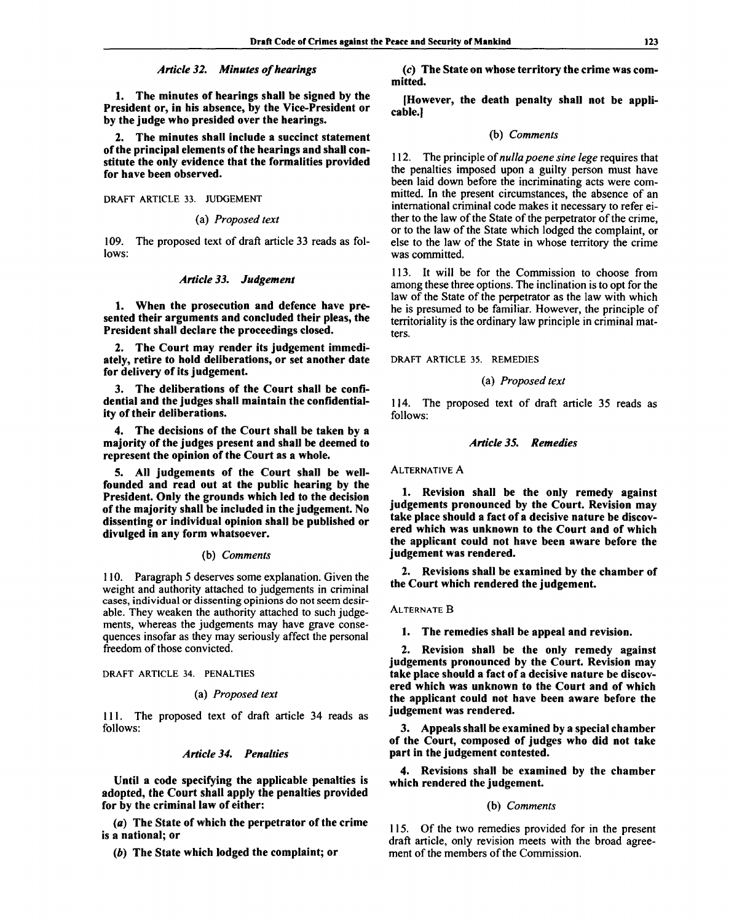# *Article 32. Minutes of hearings*

**1. The minutes of hearings shall be signed by the President or, in his absence, by the Vice-President or by the judge who presided over the hearings.**

**2. The minutes shall include a succinct statement of the principal elements of the hearings and shall constitute the only evidence that the formalities provided for have been observed.**

DRAFT ARTICLE 33. JUDGEMENT

## (a) *Proposed text*

109. The proposed text of draft article 33 reads as follows:

### *Article 33. Judgement*

**1. When the prosecution and defence have presented their arguments and concluded their pleas, the President shall declare the proceedings closed.**

**2. The Court may render its judgement immediately, retire to hold deliberations, or set another date for delivery of its judgement.**

**3. The deliberations of the Court shall be confidential and the judges shall maintain the confidentiality of their deliberations.**

**4. The decisions of the Court shall be taken by a majority of the judges present and shall be deemed to represent the opinion of the Court as a whole.**

**5. All judgements of the Court shall be wellfounded and read out at the public hearing by the President. Only the grounds which led to the decision of the majority shall be included in the judgement. No dissenting or individual opinion shall be published or divulged in any form whatsoever.**

#### (b) *Comments*

110. Paragraph 5 deserves some explanation. Given the weight and authority attached to judgements in criminal cases, individual or dissenting opinions do not seem desirable. They weaken the authority attached to such judgements, whereas the judgements may have grave consequences insofar as they may seriously affect the personal freedom of those convicted.

DRAFT ARTICLE 34. PENALTIES

### (a) *Proposed text*

111. The proposed text of draft article 34 reads as follows:

### *Article 34. Penalties*

**Until a code specifying the applicable penalties is adopted, the Court shall apply the penalties provided for by the criminal law of either:**

**(a) The State of which the perpetrator of the crime is a national; or**

*(b)* **The State which lodged the complaint; or**

**(c) The State on whose territory the crime was committed.**

**[However, the death penalty shall not be applicable.]**

### **(b)** *Comments*

112. The principle of *nullapoene sine lege* requires that the penalties imposed upon a guilty person must have been laid down before the incriminating acts were committed. In the present circumstances, the absence of an international criminal code makes it necessary to refer either to the law of the State of the perpetrator of the crime, or to the law of the State which lodged the complaint, or else to the law of the State in whose territory the crime was committed.

113. It will be for the Commission to choose from among these three options. The inclination is to opt for the law of the State of the perpetrator as the law with which he is presumed to be familiar. However, the principle of territoriality is the ordinary law principle in criminal matters.

DRAFT ARTICLE 35. REMEDIES

### (a) *Proposed text*

114. The proposed text of draft article 35 reads as follows:

#### *Article 35. Remedies*

ALTERNATIVE A

**1. Revision shall be the only remedy against judgements pronounced by the Court. Revision may take place should a fact of a decisive nature be discovered which was unknown to the Court and of which the applicant could not have been aware before the judgement was rendered.**

**2. Revisions shall be examined by the chamber of the Court which rendered the judgement.**

### ALTERNATE B

**1. The remedies shall be appeal and revision.**

**2. Revision shall be the only remedy against judgements pronounced by the Court. Revision may take place should a fact of a decisive nature be discovered which was unknown to the Court and of which the applicant could not have been aware before the judgement was rendered.**

**3. Appeals shall be examined by a special chamber of the Court, composed of judges who did not take part in the judgement contested.**

**4. Revisions shall be examined by the chamber which rendered the judgement.**

### (b) *Comments*

115. Of the two remedies provided for in the present draft article, only revision meets with the broad agreement of the members of the Commission.